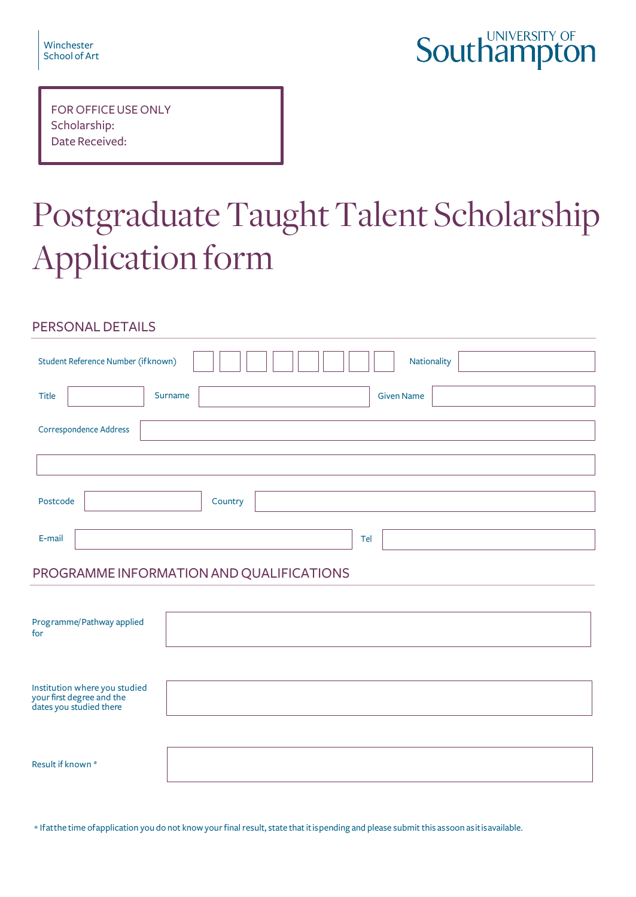| Winchester    |  |
|---------------|--|
| School of Art |  |

# **Southampton**

| <b>FOR OFFICE USE ONLY</b> |
|----------------------------|
| Scholarship:               |
| Date Received:             |

# Postgraduate Taught Talent Scholarship Application form

# PERSONAL DETAILS

| Student Reference Number (if known) |         |  |     | Nationality       |
|-------------------------------------|---------|--|-----|-------------------|
| Title                               | Surname |  |     | <b>Given Name</b> |
| Correspondence Address              |         |  |     |                   |
|                                     |         |  |     |                   |
| Postcode                            | Country |  |     |                   |
| E-mail                              |         |  | Tel |                   |

# PROGRAMME INFORMATION AND QUALIFICATIONS

| Programme/Pathway applied<br>for                                                      |  |
|---------------------------------------------------------------------------------------|--|
| Institution where you studied<br>your first degree and the<br>dates you studied there |  |
| Result if known *                                                                     |  |

\* If at the time of application you do not know your final result, state that it is pending and please submit this as soon as it is available.